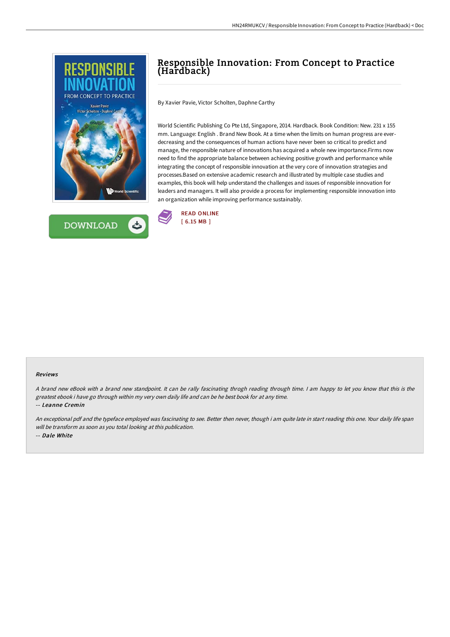



# Responsible Innovation: From Concept to Practice (Hardback)

By Xavier Pavie, Victor Scholten, Daphne Carthy

World Scientific Publishing Co Pte Ltd, Singapore, 2014. Hardback. Book Condition: New. 231 x 155 mm. Language: English . Brand New Book. At a time when the limits on human progress are everdecreasing and the consequences of human actions have never been so critical to predict and manage, the responsible nature of innovations has acquired a whole new importance.Firms now need to find the appropriate balance between achieving positive growth and performance while integrating the concept of responsible innovation at the very core of innovation strategies and processes.Based on extensive academic research and illustrated by multiple case studies and examples, this book will help understand the challenges and issues of responsible innovation for leaders and managers. It will also provide a process for implementing responsible innovation into an organization while improving performance sustainably.



#### Reviews

A brand new eBook with a brand new standpoint. It can be rally fascinating throgh reading through time. I am happy to let you know that this is the greatest ebook i have go through within my very own daily life and can be he best book for at any time.

-- Leanne Cremin

An exceptional pdf and the typeface employed was fascinating to see. Better then never, though i am quite late in start reading this one. Your daily life span will be transform as soon as you total looking at this publication. -- Dale White